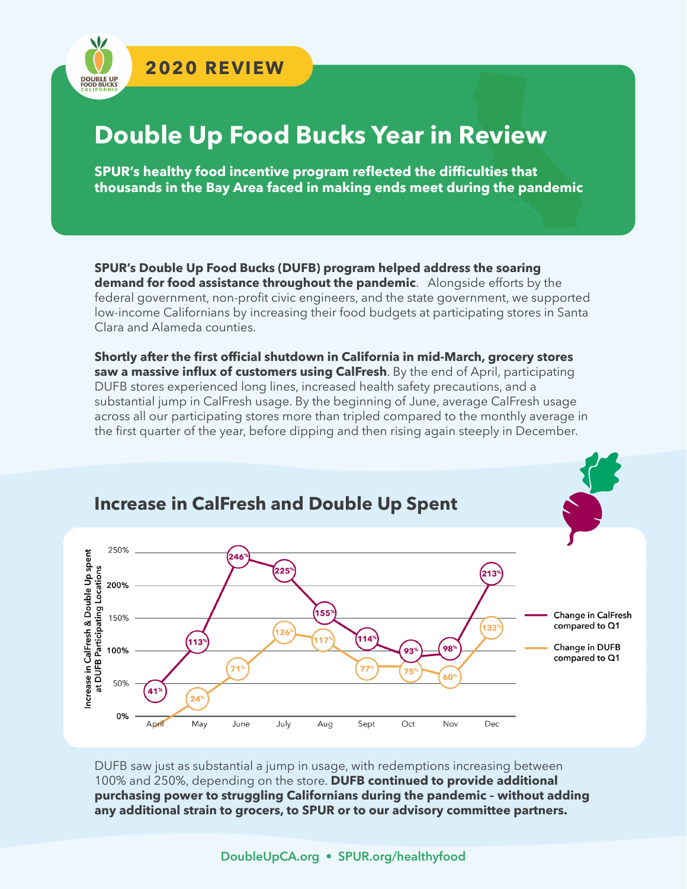

**DOUBLE UF**<br>FOOD BUCKS

# **Double Up Food Bucks Year in Review**

**SPUR's healthy food incentive program reflected the difficulties that thousands in the Bay Area faced in making ends meet during the pandemic**

**SPUR's Double Up Food Bucks (DUFB) program helped address the soaring demand for food assistance throughout the pandemic**. Alongside efforts by the federal government, non-profit civic engineers, and the state government, we supported low-income Californians by increasing their food budgets at participating stores in Santa Clara and Alameda counties.

**Shortly after the first official shutdown in California in mid-March, grocery stores saw a massive influx of customers using CalFresh**. By the end of April, participating DUFB stores experienced long lines, increased health safety precautions, and a substantial jump in CalFresh usage. By the beginning of June, average CalFresh usage across all our participating stores more than tripled compared to the monthly average in the first quarter of the year, before dipping and then rising again steeply in December.



DUFB saw just as substantial a jump in usage, with redemptions increasing between 100% and 250%, depending on the store. **DUFB continued to provide additional purchasing power to struggling Californians during the pandemic – without adding any additional strain to grocers, to SPUR or to our advisory committee partners.**